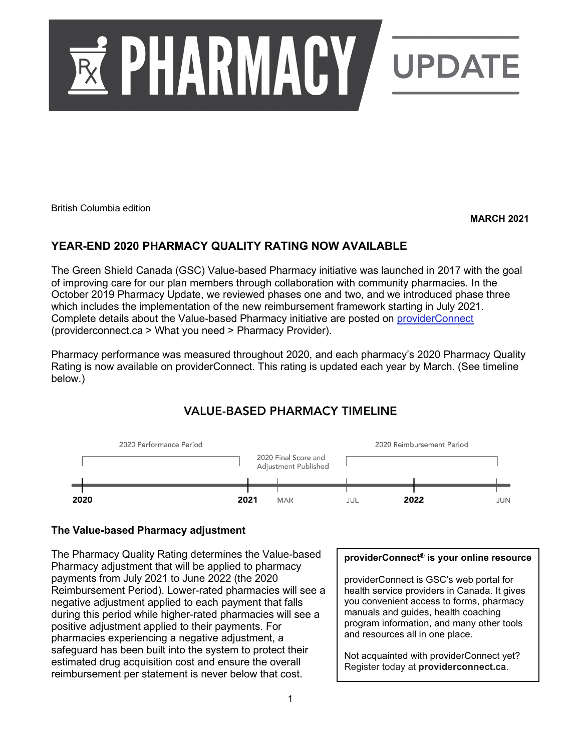

British Columbia edition

**MARCH 2021**

## **YEAR-END 2020 PHARMACY QUALITY RATING NOW AVAILABLE**

The Green Shield Canada (GSC) Value-based Pharmacy initiative was launched in 2017 with the goal of improving care for our plan members through collaboration with community pharmacies. In the October 2019 Pharmacy Update, we reviewed phases one and two, and we introduced phase three which includes the implementation of the new reimbursement framework starting in July 2021. Complete details about the Value-based Pharmacy initiative are posted on [providerConnect](https://www.providerconnect.ca/AdminContent/Forms.aspx?type=pharmacy) (providerconnect.ca > What you need > Pharmacy Provider).

Pharmacy performance was measured throughout 2020, and each pharmacy's 2020 Pharmacy Quality Rating is now available on providerConnect. This rating is updated each year by March. (See timeline below.)

# **VALUE-BASED PHARMACY TIMELINE**



### **The Value-based Pharmacy adjustment**

The Pharmacy Quality Rating determines the Value-based Pharmacy adjustment that will be applied to pharmacy payments from July 2021 to June 2022 (the 2020 Reimbursement Period). Lower-rated pharmacies will see a negative adjustment applied to each payment that falls during this period while higher-rated pharmacies will see a positive adjustment applied to their payments. For pharmacies experiencing a negative adjustment, a safeguard has been built into the system to protect their estimated drug acquisition cost and ensure the overall reimbursement per statement is never below that cost.

#### **providerConnect® is your online resource**

providerConnect is GSC's web portal for health service providers in Canada. It gives you convenient access to forms, pharmacy manuals and guides, health coaching program information, and many other tools and resources all in one place.

Not acquainted with providerConnect yet? Register today at **providerconnect.ca**.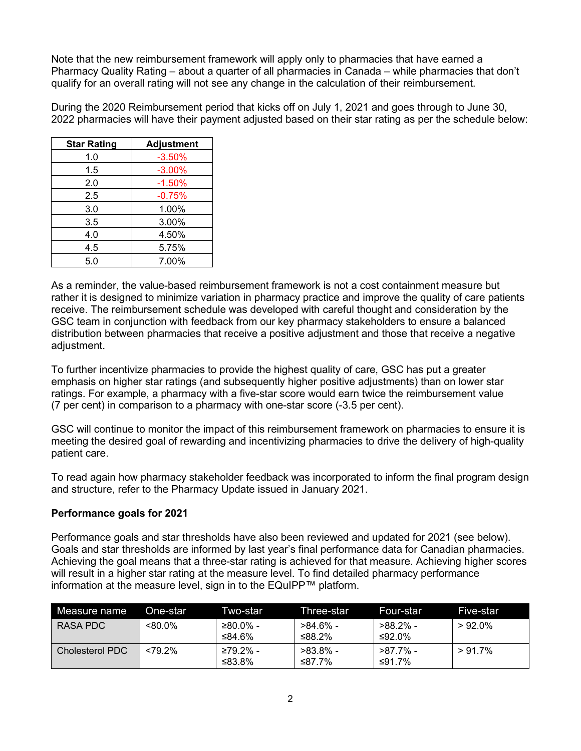Note that the new reimbursement framework will apply only to pharmacies that have earned a Pharmacy Quality Rating – about a quarter of all pharmacies in Canada – while pharmacies that don't qualify for an overall rating will not see any change in the calculation of their reimbursement.

During the 2020 Reimbursement period that kicks off on July 1, 2021 and goes through to June 30, 2022 pharmacies will have their payment adjusted based on their star rating as per the schedule below:

| <b>Star Rating</b> | <b>Adjustment</b> |  |
|--------------------|-------------------|--|
| 1.0                | $-3.50%$          |  |
| 1.5                | $-3.00%$          |  |
| 2.0                | $-1.50%$          |  |
| 2.5                | $-0.75%$          |  |
| 3.0                | 1.00%             |  |
| 3.5                | 3.00%             |  |
| 4.0                | 4.50%             |  |
| 4.5                | 5.75%             |  |
| 5.0                | 7.00%             |  |

As a reminder, the value-based reimbursement framework is not a cost containment measure but rather it is designed to minimize variation in pharmacy practice and improve the quality of care patients receive. The reimbursement schedule was developed with careful thought and consideration by the GSC team in conjunction with feedback from our key pharmacy stakeholders to ensure a balanced distribution between pharmacies that receive a positive adjustment and those that receive a negative adiustment.

To further incentivize pharmacies to provide the highest quality of care, GSC has put a greater emphasis on higher star ratings (and subsequently higher positive adjustments) than on lower star ratings. For example, a pharmacy with a five-star score would earn twice the reimbursement value (7 per cent) in comparison to a pharmacy with one-star score (-3.5 per cent).

GSC will continue to monitor the impact of this reimbursement framework on pharmacies to ensure it is meeting the desired goal of rewarding and incentivizing pharmacies to drive the delivery of high-quality patient care.

To read again how pharmacy stakeholder feedback was incorporated to inform the final program design and structure, refer to the Pharmacy Update issued in January 2021.

#### **Performance goals for 2021**

Performance goals and star thresholds have also been reviewed and updated for 2021 (see below). Goals and star thresholds are informed by last year's final performance data for Canadian pharmacies. Achieving the goal means that a three-star rating is achieved for that measure. Achieving higher scores will result in a higher star rating at the measure level. To find detailed pharmacy performance information at the measure level, sign in to the EQuIPP™ platform.

| Measure name           | One-star   | Two-star              | Three-star            | Four-star             | Five-star |
|------------------------|------------|-----------------------|-----------------------|-----------------------|-----------|
| RASA PDC               | $< 80.0\%$ | $≥80.0\%$ -<br>≲84.6% | >84.6% -<br>≤88.2%    | $>88.2\%$ -<br>≤92.0% | $>92.0\%$ |
| <b>Cholesterol PDC</b> | $< 79.2\%$ | $≥79.2%$ -<br>≤83.8%  | $>83.8\%$ -<br>≤87.7% | >87.7% -<br>≤91.7%    | $>91.7\%$ |